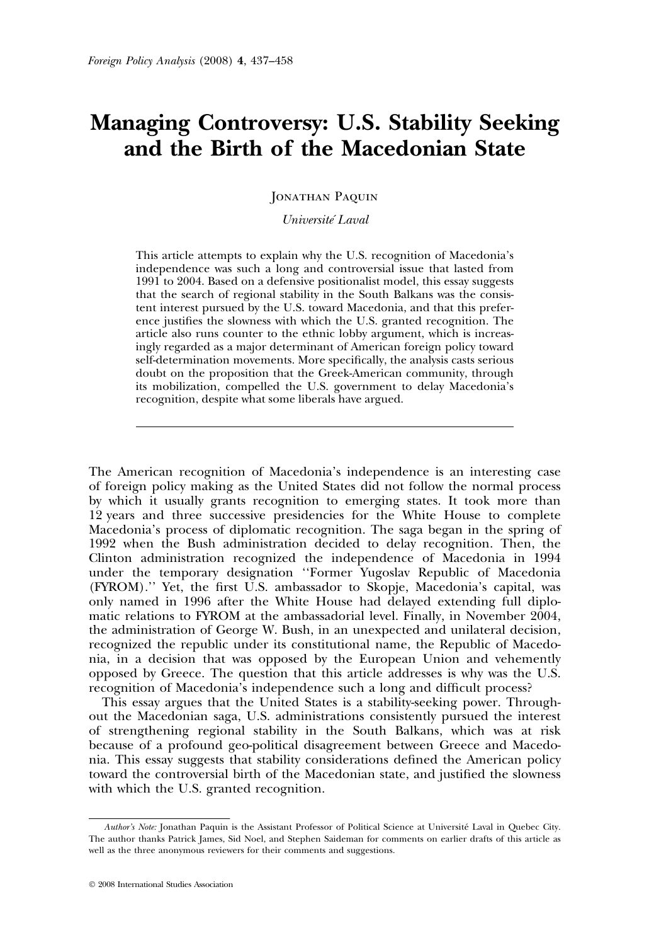# Managing Controversy: U.S. Stability Seeking and the Birth of the Macedonian State

JONATHAN PAQUIN

Universite´ Laval

This article attempts to explain why the U.S. recognition of Macedonia's independence was such a long and controversial issue that lasted from 1991 to 2004. Based on a defensive positionalist model, this essay suggests that the search of regional stability in the South Balkans was the consistent interest pursued by the U.S. toward Macedonia, and that this preference justifies the slowness with which the U.S. granted recognition. The article also runs counter to the ethnic lobby argument, which is increasingly regarded as a major determinant of American foreign policy toward self-determination movements. More specifically, the analysis casts serious doubt on the proposition that the Greek-American community, through its mobilization, compelled the U.S. government to delay Macedonia's recognition, despite what some liberals have argued.

The American recognition of Macedonia's independence is an interesting case of foreign policy making as the United States did not follow the normal process by which it usually grants recognition to emerging states. It took more than 12 years and three successive presidencies for the White House to complete Macedonia's process of diplomatic recognition. The saga began in the spring of 1992 when the Bush administration decided to delay recognition. Then, the Clinton administration recognized the independence of Macedonia in 1994 under the temporary designation ''Former Yugoslav Republic of Macedonia (FYROM).'' Yet, the first U.S. ambassador to Skopje, Macedonia's capital, was only named in 1996 after the White House had delayed extending full diplomatic relations to FYROM at the ambassadorial level. Finally, in November 2004, the administration of George W. Bush, in an unexpected and unilateral decision, recognized the republic under its constitutional name, the Republic of Macedonia, in a decision that was opposed by the European Union and vehemently opposed by Greece. The question that this article addresses is why was the U.S. recognition of Macedonia's independence such a long and difficult process?

This essay argues that the United States is a stability-seeking power. Throughout the Macedonian saga, U.S. administrations consistently pursued the interest of strengthening regional stability in the South Balkans, which was at risk because of a profound geo-political disagreement between Greece and Macedonia. This essay suggests that stability considerations defined the American policy toward the controversial birth of the Macedonian state, and justified the slowness with which the U.S. granted recognition.

Author's Note: Jonathan Paquin is the Assistant Professor of Political Science at Université Laval in Quebec City. The author thanks Patrick James, Sid Noel, and Stephen Saideman for comments on earlier drafts of this article as well as the three anonymous reviewers for their comments and suggestions.

 $©$  2008 International Studies Association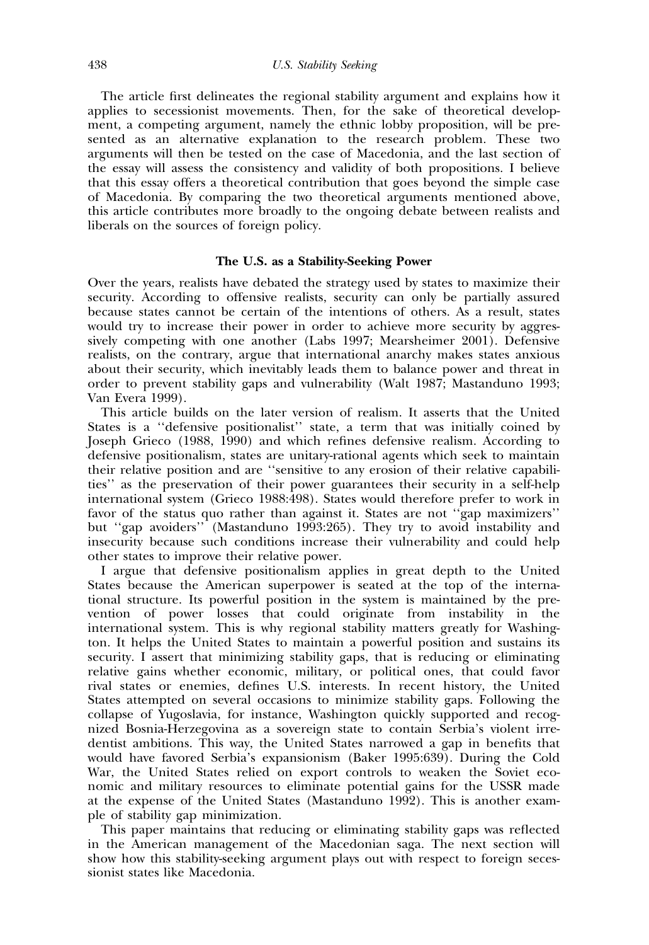The article first delineates the regional stability argument and explains how it applies to secessionist movements. Then, for the sake of theoretical development, a competing argument, namely the ethnic lobby proposition, will be presented as an alternative explanation to the research problem. These two arguments will then be tested on the case of Macedonia, and the last section of the essay will assess the consistency and validity of both propositions. I believe that this essay offers a theoretical contribution that goes beyond the simple case of Macedonia. By comparing the two theoretical arguments mentioned above, this article contributes more broadly to the ongoing debate between realists and liberals on the sources of foreign policy.

## The U.S. as a Stability-Seeking Power

Over the years, realists have debated the strategy used by states to maximize their security. According to offensive realists, security can only be partially assured because states cannot be certain of the intentions of others. As a result, states would try to increase their power in order to achieve more security by aggressively competing with one another (Labs 1997; Mearsheimer 2001). Defensive realists, on the contrary, argue that international anarchy makes states anxious about their security, which inevitably leads them to balance power and threat in order to prevent stability gaps and vulnerability (Walt 1987; Mastanduno 1993; Van Evera 1999).

This article builds on the later version of realism. It asserts that the United States is a ''defensive positionalist'' state, a term that was initially coined by Joseph Grieco (1988, 1990) and which refines defensive realism. According to defensive positionalism, states are unitary-rational agents which seek to maintain their relative position and are ''sensitive to any erosion of their relative capabilities'' as the preservation of their power guarantees their security in a self-help international system (Grieco 1988:498). States would therefore prefer to work in favor of the status quo rather than against it. States are not ''gap maximizers'' but ''gap avoiders'' (Mastanduno 1993:265). They try to avoid instability and insecurity because such conditions increase their vulnerability and could help other states to improve their relative power.

I argue that defensive positionalism applies in great depth to the United States because the American superpower is seated at the top of the international structure. Its powerful position in the system is maintained by the prevention of power losses that could originate from instability in the international system. This is why regional stability matters greatly for Washington. It helps the United States to maintain a powerful position and sustains its security. I assert that minimizing stability gaps, that is reducing or eliminating relative gains whether economic, military, or political ones, that could favor rival states or enemies, defines U.S. interests. In recent history, the United States attempted on several occasions to minimize stability gaps. Following the collapse of Yugoslavia, for instance, Washington quickly supported and recognized Bosnia-Herzegovina as a sovereign state to contain Serbia's violent irredentist ambitions. This way, the United States narrowed a gap in benefits that would have favored Serbia's expansionism (Baker 1995:639). During the Cold War, the United States relied on export controls to weaken the Soviet economic and military resources to eliminate potential gains for the USSR made at the expense of the United States (Mastanduno 1992). This is another example of stability gap minimization.

This paper maintains that reducing or eliminating stability gaps was reflected in the American management of the Macedonian saga. The next section will show how this stability-seeking argument plays out with respect to foreign secessionist states like Macedonia.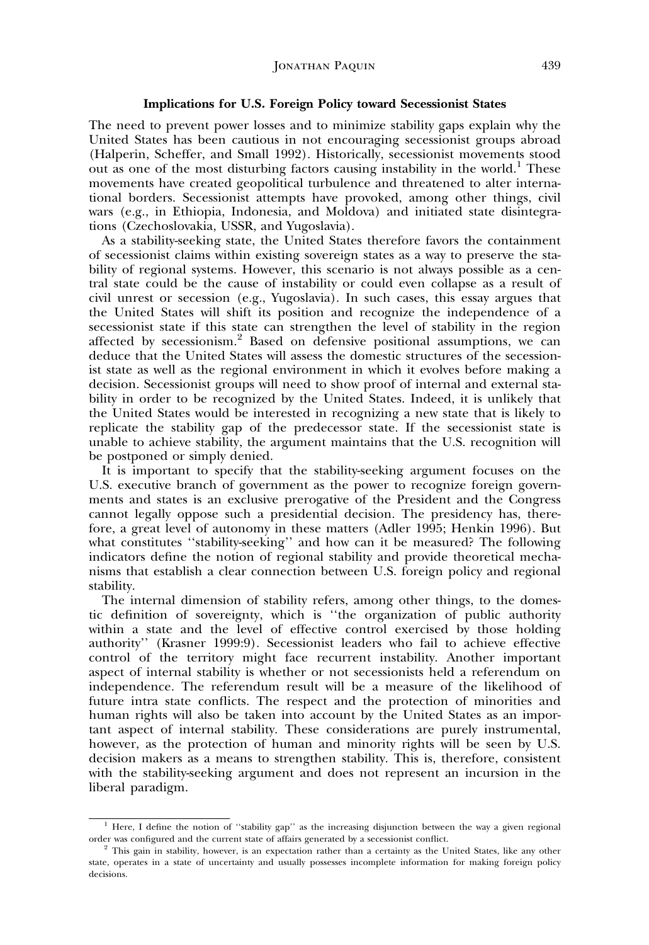# Implications for U.S. Foreign Policy toward Secessionist States

The need to prevent power losses and to minimize stability gaps explain why the United States has been cautious in not encouraging secessionist groups abroad (Halperin, Scheffer, and Small 1992). Historically, secessionist movements stood out as one of the most disturbing factors causing instability in the world.<sup>1</sup> These movements have created geopolitical turbulence and threatened to alter international borders. Secessionist attempts have provoked, among other things, civil wars (e.g., in Ethiopia, Indonesia, and Moldova) and initiated state disintegrations (Czechoslovakia, USSR, and Yugoslavia).

As a stability-seeking state, the United States therefore favors the containment of secessionist claims within existing sovereign states as a way to preserve the stability of regional systems. However, this scenario is not always possible as a central state could be the cause of instability or could even collapse as a result of civil unrest or secession (e.g., Yugoslavia). In such cases, this essay argues that the United States will shift its position and recognize the independence of a secessionist state if this state can strengthen the level of stability in the region affected by secessionism.<sup>2</sup> Based on defensive positional assumptions, we can deduce that the United States will assess the domestic structures of the secessionist state as well as the regional environment in which it evolves before making a decision. Secessionist groups will need to show proof of internal and external stability in order to be recognized by the United States. Indeed, it is unlikely that the United States would be interested in recognizing a new state that is likely to replicate the stability gap of the predecessor state. If the secessionist state is unable to achieve stability, the argument maintains that the U.S. recognition will be postponed or simply denied.

It is important to specify that the stability-seeking argument focuses on the U.S. executive branch of government as the power to recognize foreign governments and states is an exclusive prerogative of the President and the Congress cannot legally oppose such a presidential decision. The presidency has, therefore, a great level of autonomy in these matters (Adler 1995; Henkin 1996). But what constitutes "stability-seeking" and how can it be measured? The following indicators define the notion of regional stability and provide theoretical mechanisms that establish a clear connection between U.S. foreign policy and regional stability.

The internal dimension of stability refers, among other things, to the domestic definition of sovereignty, which is ''the organization of public authority within a state and the level of effective control exercised by those holding authority'' (Krasner 1999:9). Secessionist leaders who fail to achieve effective control of the territory might face recurrent instability. Another important aspect of internal stability is whether or not secessionists held a referendum on independence. The referendum result will be a measure of the likelihood of future intra state conflicts. The respect and the protection of minorities and human rights will also be taken into account by the United States as an important aspect of internal stability. These considerations are purely instrumental, however, as the protection of human and minority rights will be seen by U.S. decision makers as a means to strengthen stability. This is, therefore, consistent with the stability-seeking argument and does not represent an incursion in the liberal paradigm.

<sup>&</sup>lt;sup>1</sup> Here, I define the notion of "stability gap" as the increasing disjunction between the way a given regional order was configured and the current state of affairs generated by a secessionist conflict.

<sup>&</sup>lt;sup>2</sup> This gain in stability, however, is an expectation rather than a certainty as the United States, like any other state, operates in a state of uncertainty and usually possesses incomplete information for making foreign policy decisions.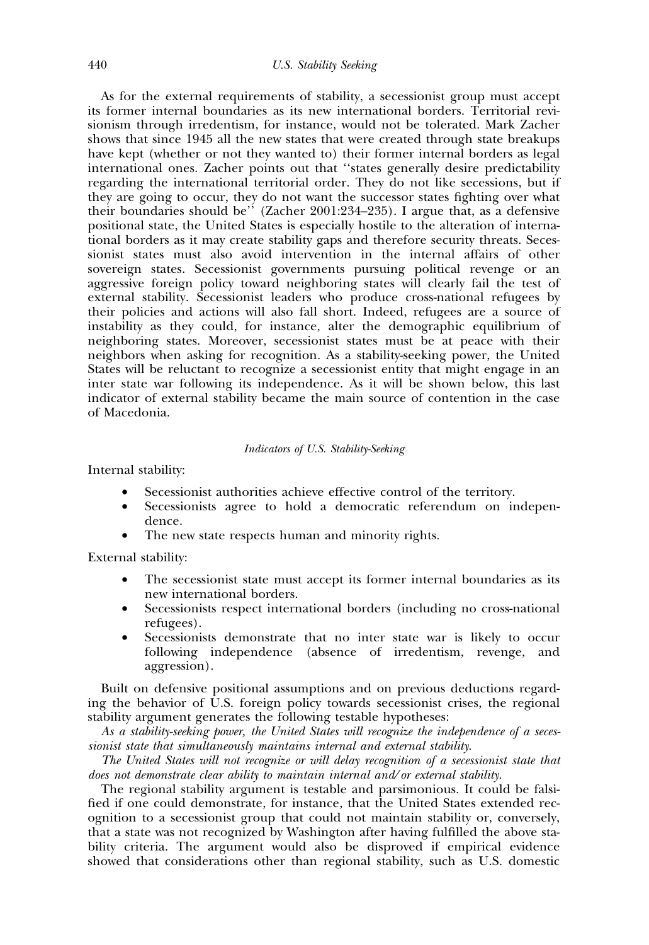As for the external requirements of stability, a secessionist group must accept its former internal boundaries as its new international borders. Territorial revisionism through irredentism, for instance, would not be tolerated. Mark Zacher shows that since 1945 all the new states that were created through state breakups have kept (whether or not they wanted to) their former internal borders as legal international ones. Zacher points out that ''states generally desire predictability regarding the international territorial order. They do not like secessions, but if they are going to occur, they do not want the successor states fighting over what their boundaries should be'' (Zacher 2001:234–235). I argue that, as a defensive positional state, the United States is especially hostile to the alteration of international borders as it may create stability gaps and therefore security threats. Secessionist states must also avoid intervention in the internal affairs of other sovereign states. Secessionist governments pursuing political revenge or an aggressive foreign policy toward neighboring states will clearly fail the test of external stability. Secessionist leaders who produce cross-national refugees by their policies and actions will also fall short. Indeed, refugees are a source of instability as they could, for instance, alter the demographic equilibrium of neighboring states. Moreover, secessionist states must be at peace with their neighbors when asking for recognition. As a stability-seeking power, the United States will be reluctant to recognize a secessionist entity that might engage in an inter state war following its independence. As it will be shown below, this last indicator of external stability became the main source of contention in the case of Macedonia.

## Indicators of U.S. Stability-Seeking

Internal stability:

- Secessionist authorities achieve effective control of the territory.
- Secessionists agree to hold a democratic referendum on independence.
- The new state respects human and minority rights.

External stability:

- The secessionist state must accept its former internal boundaries as its new international borders.
- Secessionists respect international borders (including no cross-national refugees).
- Secessionists demonstrate that no inter state war is likely to occur following independence (absence of irredentism, revenge, and aggression).

Built on defensive positional assumptions and on previous deductions regarding the behavior of U.S. foreign policy towards secessionist crises, the regional stability argument generates the following testable hypotheses:

As a stability-seeking power, the United States will recognize the independence of a secessionist state that simultaneously maintains internal and external stability.

The United States will not recognize or will delay recognition of a secessionist state that does not demonstrate clear ability to maintain internal and/or external stability.

The regional stability argument is testable and parsimonious. It could be falsified if one could demonstrate, for instance, that the United States extended recognition to a secessionist group that could not maintain stability or, conversely, that a state was not recognized by Washington after having fulfilled the above stability criteria. The argument would also be disproved if empirical evidence showed that considerations other than regional stability, such as U.S. domestic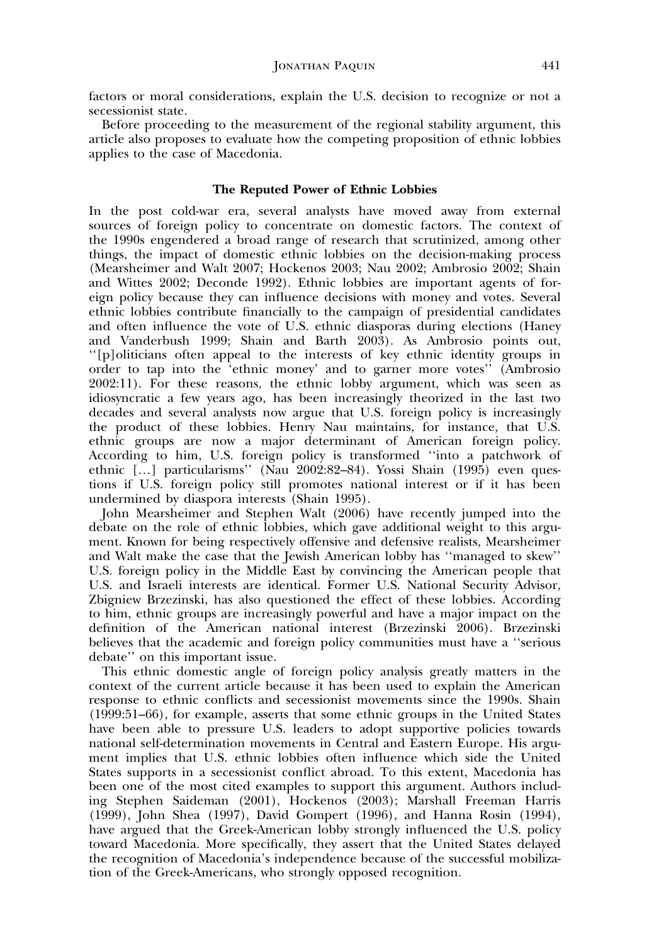Before proceeding to the measurement of the regional stability argument, this article also proposes to evaluate how the competing proposition of ethnic lobbies applies to the case of Macedonia.

# The Reputed Power of Ethnic Lobbies

In the post cold-war era, several analysts have moved away from external sources of foreign policy to concentrate on domestic factors. The context of the 1990s engendered a broad range of research that scrutinized, among other things, the impact of domestic ethnic lobbies on the decision-making process (Mearsheimer and Walt 2007; Hockenos 2003; Nau 2002; Ambrosio 2002; Shain and Wittes 2002; Deconde 1992). Ethnic lobbies are important agents of foreign policy because they can influence decisions with money and votes. Several ethnic lobbies contribute financially to the campaign of presidential candidates and often influence the vote of U.S. ethnic diasporas during elections (Haney and Vanderbush 1999; Shain and Barth 2003). As Ambrosio points out, ''[p]oliticians often appeal to the interests of key ethnic identity groups in order to tap into the 'ethnic money' and to garner more votes'' (Ambrosio 2002:11). For these reasons, the ethnic lobby argument, which was seen as idiosyncratic a few years ago, has been increasingly theorized in the last two decades and several analysts now argue that U.S. foreign policy is increasingly the product of these lobbies. Henry Nau maintains, for instance, that U.S. ethnic groups are now a major determinant of American foreign policy. According to him, U.S. foreign policy is transformed ''into a patchwork of ethnic […] particularisms'' (Nau 2002:82–84). Yossi Shain (1995) even questions if U.S. foreign policy still promotes national interest or if it has been undermined by diaspora interests (Shain 1995).

John Mearsheimer and Stephen Walt (2006) have recently jumped into the debate on the role of ethnic lobbies, which gave additional weight to this argument. Known for being respectively offensive and defensive realists, Mearsheimer and Walt make the case that the Jewish American lobby has ''managed to skew'' U.S. foreign policy in the Middle East by convincing the American people that U.S. and Israeli interests are identical. Former U.S. National Security Advisor, Zbigniew Brzezinski, has also questioned the effect of these lobbies. According to him, ethnic groups are increasingly powerful and have a major impact on the definition of the American national interest (Brzezinski 2006). Brzezinski believes that the academic and foreign policy communities must have a ''serious debate'' on this important issue.

This ethnic domestic angle of foreign policy analysis greatly matters in the context of the current article because it has been used to explain the American response to ethnic conflicts and secessionist movements since the 1990s. Shain (1999:51–66), for example, asserts that some ethnic groups in the United States have been able to pressure U.S. leaders to adopt supportive policies towards national self-determination movements in Central and Eastern Europe. His argument implies that U.S. ethnic lobbies often influence which side the United States supports in a secessionist conflict abroad. To this extent, Macedonia has been one of the most cited examples to support this argument. Authors including Stephen Saideman (2001), Hockenos (2003); Marshall Freeman Harris (1999), John Shea (1997), David Gompert (1996), and Hanna Rosin (1994), have argued that the Greek-American lobby strongly influenced the U.S. policy toward Macedonia. More specifically, they assert that the United States delayed the recognition of Macedonia's independence because of the successful mobilization of the Greek-Americans, who strongly opposed recognition.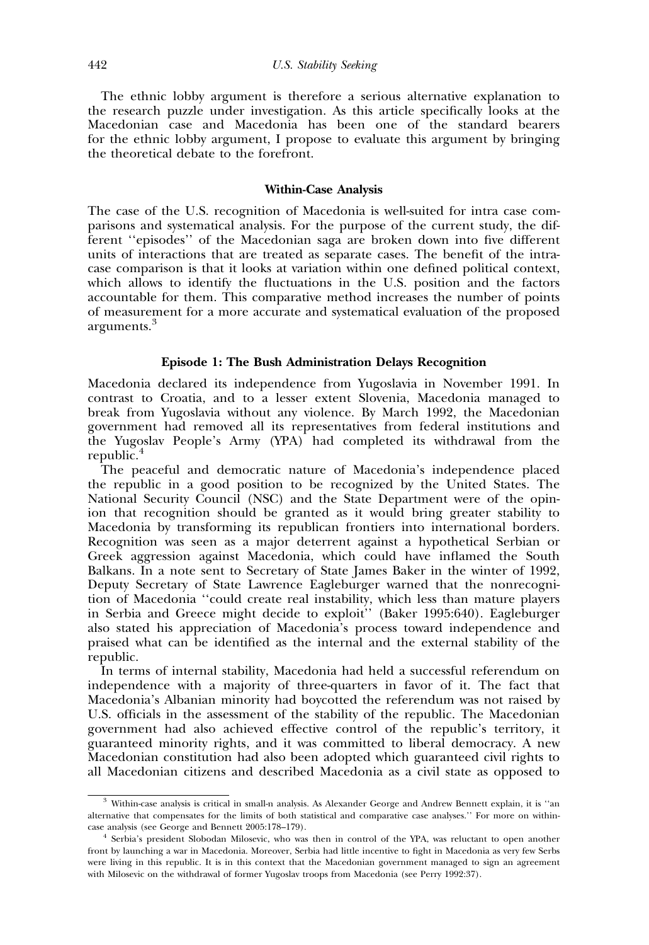The ethnic lobby argument is therefore a serious alternative explanation to the research puzzle under investigation. As this article specifically looks at the Macedonian case and Macedonia has been one of the standard bearers for the ethnic lobby argument, I propose to evaluate this argument by bringing the theoretical debate to the forefront.

#### Within-Case Analysis

The case of the U.S. recognition of Macedonia is well-suited for intra case comparisons and systematical analysis. For the purpose of the current study, the different ''episodes'' of the Macedonian saga are broken down into five different units of interactions that are treated as separate cases. The benefit of the intracase comparison is that it looks at variation within one defined political context, which allows to identify the fluctuations in the U.S. position and the factors accountable for them. This comparative method increases the number of points of measurement for a more accurate and systematical evaluation of the proposed arguments.<sup>3</sup>

## Episode 1: The Bush Administration Delays Recognition

Macedonia declared its independence from Yugoslavia in November 1991. In contrast to Croatia, and to a lesser extent Slovenia, Macedonia managed to break from Yugoslavia without any violence. By March 1992, the Macedonian government had removed all its representatives from federal institutions and the Yugoslav People's Army (YPA) had completed its withdrawal from the republic.<sup>4</sup>

The peaceful and democratic nature of Macedonia's independence placed the republic in a good position to be recognized by the United States. The National Security Council (NSC) and the State Department were of the opinion that recognition should be granted as it would bring greater stability to Macedonia by transforming its republican frontiers into international borders. Recognition was seen as a major deterrent against a hypothetical Serbian or Greek aggression against Macedonia, which could have inflamed the South Balkans. In a note sent to Secretary of State James Baker in the winter of 1992, Deputy Secretary of State Lawrence Eagleburger warned that the nonrecognition of Macedonia ''could create real instability, which less than mature players in Serbia and Greece might decide to exploit'' (Baker 1995:640). Eagleburger also stated his appreciation of Macedonia's process toward independence and praised what can be identified as the internal and the external stability of the republic.

In terms of internal stability, Macedonia had held a successful referendum on independence with a majority of three-quarters in favor of it. The fact that Macedonia's Albanian minority had boycotted the referendum was not raised by U.S. officials in the assessment of the stability of the republic. The Macedonian government had also achieved effective control of the republic's territory, it guaranteed minority rights, and it was committed to liberal democracy. A new Macedonian constitution had also been adopted which guaranteed civil rights to all Macedonian citizens and described Macedonia as a civil state as opposed to

<sup>3</sup> Within-case analysis is critical in small-n analysis. As Alexander George and Andrew Bennett explain, it is ''an alternative that compensates for the limits of both statistical and comparative case analyses.'' For more on withincase analysis (see George and Bennett 2005:178–179).

<sup>4</sup> Serbia's president Slobodan Milosevic, who was then in control of the YPA, was reluctant to open another front by launching a war in Macedonia. Moreover, Serbia had little incentive to fight in Macedonia as very few Serbs were living in this republic. It is in this context that the Macedonian government managed to sign an agreement with Milosevic on the withdrawal of former Yugoslav troops from Macedonia (see Perry 1992:37).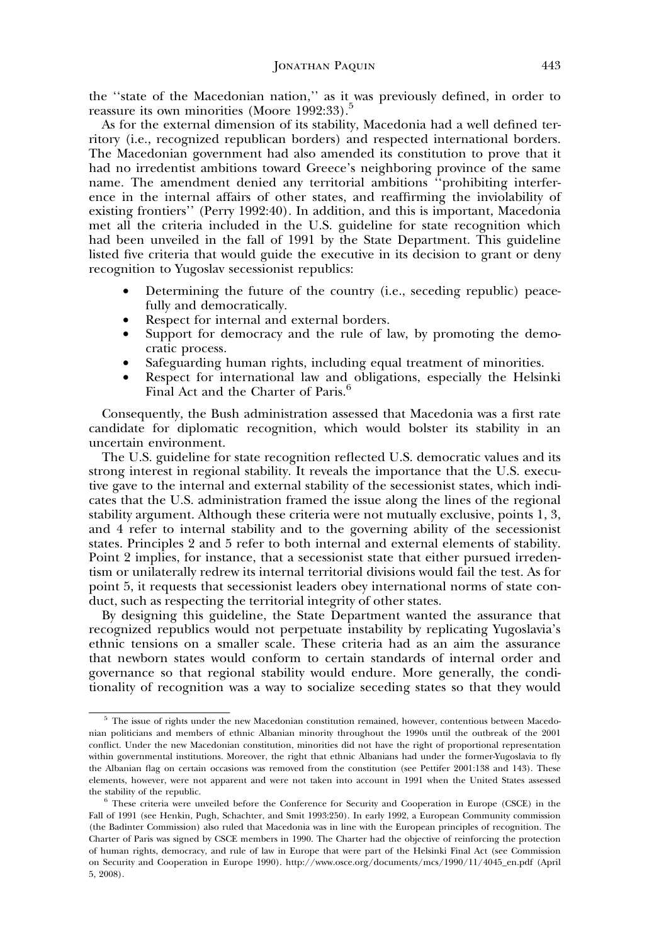the ''state of the Macedonian nation,'' as it was previously defined, in order to reassure its own minorities (Moore 1992:33).<sup>5</sup>

As for the external dimension of its stability, Macedonia had a well defined territory (i.e., recognized republican borders) and respected international borders. The Macedonian government had also amended its constitution to prove that it had no irredentist ambitions toward Greece's neighboring province of the same name. The amendment denied any territorial ambitions ''prohibiting interference in the internal affairs of other states, and reaffirming the inviolability of existing frontiers'' (Perry 1992:40). In addition, and this is important, Macedonia met all the criteria included in the U.S. guideline for state recognition which had been unveiled in the fall of 1991 by the State Department. This guideline listed five criteria that would guide the executive in its decision to grant or deny recognition to Yugoslav secessionist republics:

- Determining the future of the country (i.e., seceding republic) peacefully and democratically.
- Respect for internal and external borders.
- Support for democracy and the rule of law, by promoting the democratic process.
- Safeguarding human rights, including equal treatment of minorities.
- Respect for international law and obligations, especially the Helsinki Final Act and the Charter of Paris.<sup>6</sup>

Consequently, the Bush administration assessed that Macedonia was a first rate candidate for diplomatic recognition, which would bolster its stability in an uncertain environment.

The U.S. guideline for state recognition reflected U.S. democratic values and its strong interest in regional stability. It reveals the importance that the U.S. executive gave to the internal and external stability of the secessionist states, which indicates that the U.S. administration framed the issue along the lines of the regional stability argument. Although these criteria were not mutually exclusive, points 1, 3, and 4 refer to internal stability and to the governing ability of the secessionist states. Principles 2 and 5 refer to both internal and external elements of stability. Point 2 implies, for instance, that a secessionist state that either pursued irredentism or unilaterally redrew its internal territorial divisions would fail the test. As for point 5, it requests that secessionist leaders obey international norms of state conduct, such as respecting the territorial integrity of other states.

By designing this guideline, the State Department wanted the assurance that recognized republics would not perpetuate instability by replicating Yugoslavia's ethnic tensions on a smaller scale. These criteria had as an aim the assurance that newborn states would conform to certain standards of internal order and governance so that regional stability would endure. More generally, the conditionality of recognition was a way to socialize seceding states so that they would

<sup>&</sup>lt;sup>5</sup> The issue of rights under the new Macedonian constitution remained, however, contentious between Macedonian politicians and members of ethnic Albanian minority throughout the 1990s until the outbreak of the 2001 conflict. Under the new Macedonian constitution, minorities did not have the right of proportional representation within governmental institutions. Moreover, the right that ethnic Albanians had under the former-Yugoslavia to fly the Albanian flag on certain occasions was removed from the constitution (see Pettifer 2001:138 and 143). These elements, however, were not apparent and were not taken into account in 1991 when the United States assessed the stability of the republic.

<sup>6</sup> These criteria were unveiled before the Conference for Security and Cooperation in Europe (CSCE) in the Fall of 1991 (see Henkin, Pugh, Schachter, and Smit 1993:250). In early 1992, a European Community commission (the Badinter Commission) also ruled that Macedonia was in line with the European principles of recognition. The Charter of Paris was signed by CSCE members in 1990. The Charter had the objective of reinforcing the protection of human rights, democracy, and rule of law in Europe that were part of the Helsinki Final Act (see Commission on Security and Cooperation in Europe 1990). http://www.osce.org/documents/mcs/1990/11/4045\_en.pdf (April 5, 2008).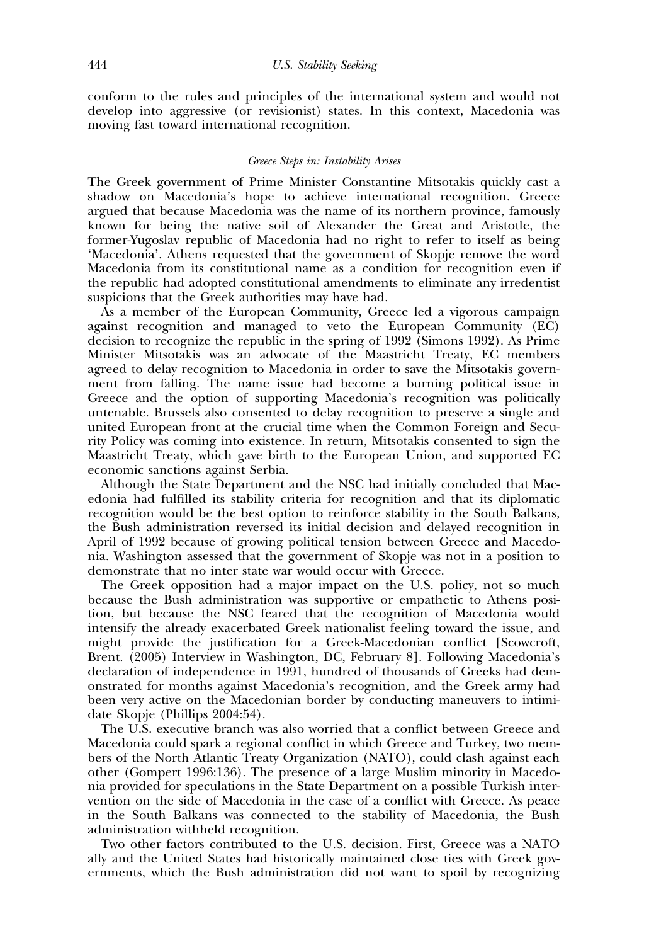conform to the rules and principles of the international system and would not develop into aggressive (or revisionist) states. In this context, Macedonia was moving fast toward international recognition.

#### Greece Steps in: Instability Arises

The Greek government of Prime Minister Constantine Mitsotakis quickly cast a shadow on Macedonia's hope to achieve international recognition. Greece argued that because Macedonia was the name of its northern province, famously known for being the native soil of Alexander the Great and Aristotle, the former-Yugoslav republic of Macedonia had no right to refer to itself as being 'Macedonia'. Athens requested that the government of Skopje remove the word Macedonia from its constitutional name as a condition for recognition even if the republic had adopted constitutional amendments to eliminate any irredentist suspicions that the Greek authorities may have had.

As a member of the European Community, Greece led a vigorous campaign against recognition and managed to veto the European Community (EC) decision to recognize the republic in the spring of 1992 (Simons 1992). As Prime Minister Mitsotakis was an advocate of the Maastricht Treaty, EC members agreed to delay recognition to Macedonia in order to save the Mitsotakis government from falling. The name issue had become a burning political issue in Greece and the option of supporting Macedonia's recognition was politically untenable. Brussels also consented to delay recognition to preserve a single and united European front at the crucial time when the Common Foreign and Security Policy was coming into existence. In return, Mitsotakis consented to sign the Maastricht Treaty, which gave birth to the European Union, and supported EC economic sanctions against Serbia.

Although the State Department and the NSC had initially concluded that Macedonia had fulfilled its stability criteria for recognition and that its diplomatic recognition would be the best option to reinforce stability in the South Balkans, the Bush administration reversed its initial decision and delayed recognition in April of 1992 because of growing political tension between Greece and Macedonia. Washington assessed that the government of Skopje was not in a position to demonstrate that no inter state war would occur with Greece.

The Greek opposition had a major impact on the U.S. policy, not so much because the Bush administration was supportive or empathetic to Athens position, but because the NSC feared that the recognition of Macedonia would intensify the already exacerbated Greek nationalist feeling toward the issue, and might provide the justification for a Greek-Macedonian conflict [Scowcroft, Brent. (2005) Interview in Washington, DC, February 8]. Following Macedonia's declaration of independence in 1991, hundred of thousands of Greeks had demonstrated for months against Macedonia's recognition, and the Greek army had been very active on the Macedonian border by conducting maneuvers to intimidate Skopje (Phillips 2004:54).

The U.S. executive branch was also worried that a conflict between Greece and Macedonia could spark a regional conflict in which Greece and Turkey, two members of the North Atlantic Treaty Organization (NATO), could clash against each other (Gompert 1996:136). The presence of a large Muslim minority in Macedonia provided for speculations in the State Department on a possible Turkish intervention on the side of Macedonia in the case of a conflict with Greece. As peace in the South Balkans was connected to the stability of Macedonia, the Bush administration withheld recognition.

Two other factors contributed to the U.S. decision. First, Greece was a NATO ally and the United States had historically maintained close ties with Greek governments, which the Bush administration did not want to spoil by recognizing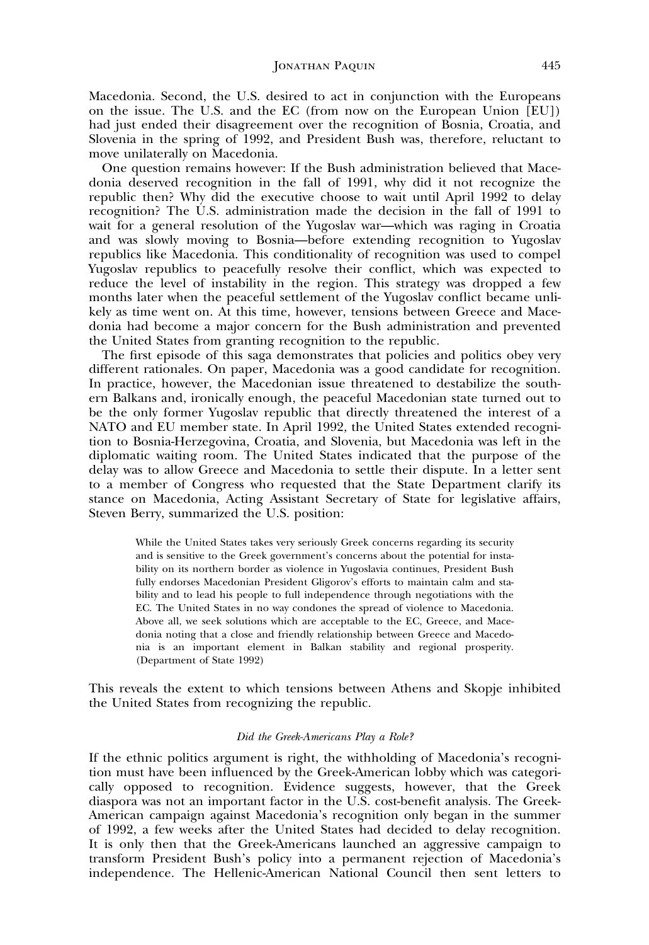Macedonia. Second, the U.S. desired to act in conjunction with the Europeans on the issue. The U.S. and the EC (from now on the European Union [EU]) had just ended their disagreement over the recognition of Bosnia, Croatia, and Slovenia in the spring of 1992, and President Bush was, therefore, reluctant to move unilaterally on Macedonia.

One question remains however: If the Bush administration believed that Macedonia deserved recognition in the fall of 1991, why did it not recognize the republic then? Why did the executive choose to wait until April 1992 to delay recognition? The U.S. administration made the decision in the fall of 1991 to wait for a general resolution of the Yugoslav war—which was raging in Croatia and was slowly moving to Bosnia—before extending recognition to Yugoslav republics like Macedonia. This conditionality of recognition was used to compel Yugoslav republics to peacefully resolve their conflict, which was expected to reduce the level of instability in the region. This strategy was dropped a few months later when the peaceful settlement of the Yugoslav conflict became unlikely as time went on. At this time, however, tensions between Greece and Macedonia had become a major concern for the Bush administration and prevented the United States from granting recognition to the republic.

The first episode of this saga demonstrates that policies and politics obey very different rationales. On paper, Macedonia was a good candidate for recognition. In practice, however, the Macedonian issue threatened to destabilize the southern Balkans and, ironically enough, the peaceful Macedonian state turned out to be the only former Yugoslav republic that directly threatened the interest of a NATO and EU member state. In April 1992, the United States extended recognition to Bosnia-Herzegovina, Croatia, and Slovenia, but Macedonia was left in the diplomatic waiting room. The United States indicated that the purpose of the delay was to allow Greece and Macedonia to settle their dispute. In a letter sent to a member of Congress who requested that the State Department clarify its stance on Macedonia, Acting Assistant Secretary of State for legislative affairs, Steven Berry, summarized the U.S. position:

While the United States takes very seriously Greek concerns regarding its security and is sensitive to the Greek government's concerns about the potential for instability on its northern border as violence in Yugoslavia continues, President Bush fully endorses Macedonian President Gligorov's efforts to maintain calm and stability and to lead his people to full independence through negotiations with the EC. The United States in no way condones the spread of violence to Macedonia. Above all, we seek solutions which are acceptable to the EC, Greece, and Macedonia noting that a close and friendly relationship between Greece and Macedonia is an important element in Balkan stability and regional prosperity. (Department of State 1992)

This reveals the extent to which tensions between Athens and Skopje inhibited the United States from recognizing the republic.

## Did the Greek-Americans Play a Role?

If the ethnic politics argument is right, the withholding of Macedonia's recognition must have been influenced by the Greek-American lobby which was categorically opposed to recognition. Evidence suggests, however, that the Greek diaspora was not an important factor in the U.S. cost-benefit analysis. The Greek-American campaign against Macedonia's recognition only began in the summer of 1992, a few weeks after the United States had decided to delay recognition. It is only then that the Greek-Americans launched an aggressive campaign to transform President Bush's policy into a permanent rejection of Macedonia's independence. The Hellenic-American National Council then sent letters to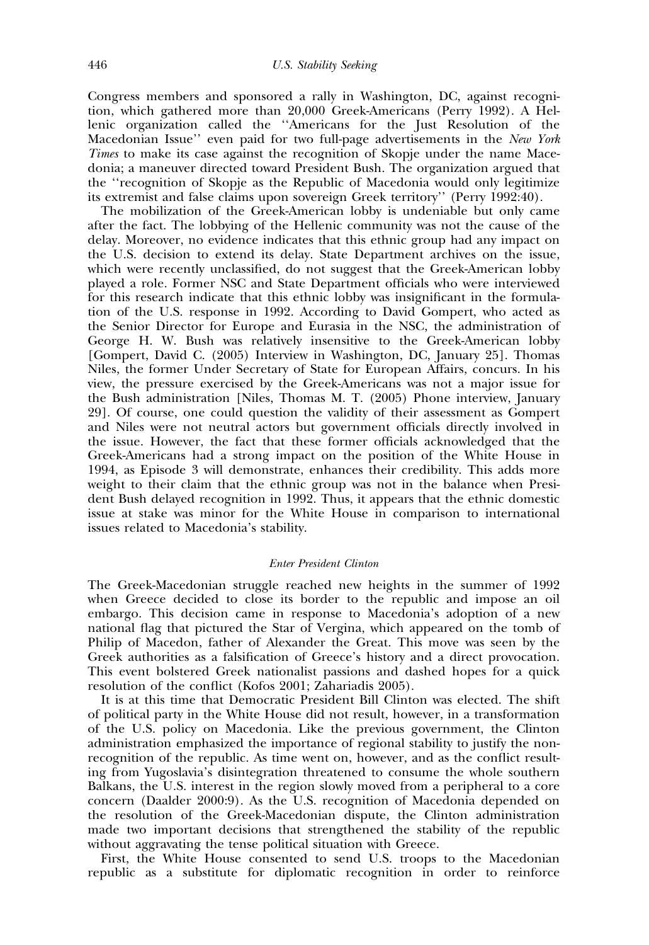Congress members and sponsored a rally in Washington, DC, against recognition, which gathered more than 20,000 Greek-Americans (Perry 1992). A Hellenic organization called the ''Americans for the Just Resolution of the Macedonian Issue" even paid for two full-page advertisements in the New York Times to make its case against the recognition of Skopje under the name Macedonia; a maneuver directed toward President Bush. The organization argued that the ''recognition of Skopje as the Republic of Macedonia would only legitimize its extremist and false claims upon sovereign Greek territory'' (Perry 1992:40).

The mobilization of the Greek-American lobby is undeniable but only came after the fact. The lobbying of the Hellenic community was not the cause of the delay. Moreover, no evidence indicates that this ethnic group had any impact on the U.S. decision to extend its delay. State Department archives on the issue, which were recently unclassified, do not suggest that the Greek-American lobby played a role. Former NSC and State Department officials who were interviewed for this research indicate that this ethnic lobby was insignificant in the formulation of the U.S. response in 1992. According to David Gompert, who acted as the Senior Director for Europe and Eurasia in the NSC, the administration of George H. W. Bush was relatively insensitive to the Greek-American lobby [Gompert, David C. (2005) Interview in Washington, DC, January 25]. Thomas Niles, the former Under Secretary of State for European Affairs, concurs. In his view, the pressure exercised by the Greek-Americans was not a major issue for the Bush administration [Niles, Thomas M. T. (2005) Phone interview, January 29]. Of course, one could question the validity of their assessment as Gompert and Niles were not neutral actors but government officials directly involved in the issue. However, the fact that these former officials acknowledged that the Greek-Americans had a strong impact on the position of the White House in 1994, as Episode 3 will demonstrate, enhances their credibility. This adds more weight to their claim that the ethnic group was not in the balance when President Bush delayed recognition in 1992. Thus, it appears that the ethnic domestic issue at stake was minor for the White House in comparison to international issues related to Macedonia's stability.

## Enter President Clinton

The Greek-Macedonian struggle reached new heights in the summer of 1992 when Greece decided to close its border to the republic and impose an oil embargo. This decision came in response to Macedonia's adoption of a new national flag that pictured the Star of Vergina, which appeared on the tomb of Philip of Macedon, father of Alexander the Great. This move was seen by the Greek authorities as a falsification of Greece's history and a direct provocation. This event bolstered Greek nationalist passions and dashed hopes for a quick resolution of the conflict (Kofos 2001; Zahariadis 2005).

It is at this time that Democratic President Bill Clinton was elected. The shift of political party in the White House did not result, however, in a transformation of the U.S. policy on Macedonia. Like the previous government, the Clinton administration emphasized the importance of regional stability to justify the nonrecognition of the republic. As time went on, however, and as the conflict resulting from Yugoslavia's disintegration threatened to consume the whole southern Balkans, the U.S. interest in the region slowly moved from a peripheral to a core concern (Daalder 2000:9). As the U.S. recognition of Macedonia depended on the resolution of the Greek-Macedonian dispute, the Clinton administration made two important decisions that strengthened the stability of the republic without aggravating the tense political situation with Greece.

First, the White House consented to send U.S. troops to the Macedonian republic as a substitute for diplomatic recognition in order to reinforce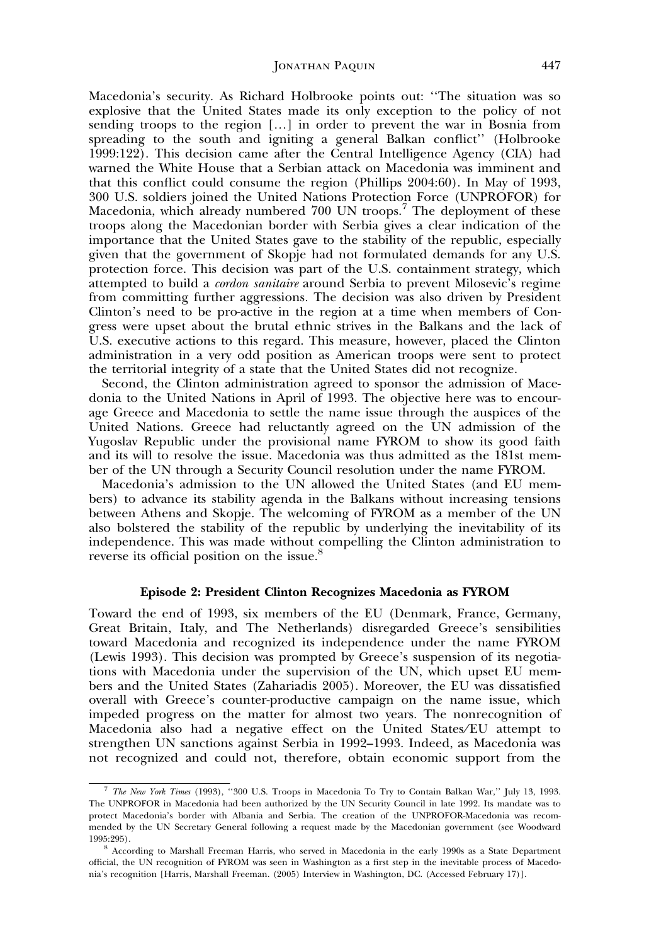Macedonia's security. As Richard Holbrooke points out: ''The situation was so explosive that the United States made its only exception to the policy of not sending troops to the region […] in order to prevent the war in Bosnia from spreading to the south and igniting a general Balkan conflict'' (Holbrooke 1999:122). This decision came after the Central Intelligence Agency (CIA) had warned the White House that a Serbian attack on Macedonia was imminent and that this conflict could consume the region (Phillips 2004:60). In May of 1993, 300 U.S. soldiers joined the United Nations Protection Force (UNPROFOR) for Macedonia, which already numbered 700 UN troops.<sup>7</sup> The deployment of these troops along the Macedonian border with Serbia gives a clear indication of the importance that the United States gave to the stability of the republic, especially given that the government of Skopje had not formulated demands for any U.S. protection force. This decision was part of the U.S. containment strategy, which attempted to build a cordon sanitaire around Serbia to prevent Milosevic's regime from committing further aggressions. The decision was also driven by President Clinton's need to be pro-active in the region at a time when members of Congress were upset about the brutal ethnic strives in the Balkans and the lack of U.S. executive actions to this regard. This measure, however, placed the Clinton administration in a very odd position as American troops were sent to protect the territorial integrity of a state that the United States did not recognize.

Second, the Clinton administration agreed to sponsor the admission of Macedonia to the United Nations in April of 1993. The objective here was to encourage Greece and Macedonia to settle the name issue through the auspices of the United Nations. Greece had reluctantly agreed on the UN admission of the Yugoslav Republic under the provisional name FYROM to show its good faith and its will to resolve the issue. Macedonia was thus admitted as the 181st member of the UN through a Security Council resolution under the name FYROM.

Macedonia's admission to the UN allowed the United States (and EU members) to advance its stability agenda in the Balkans without increasing tensions between Athens and Skopje. The welcoming of FYROM as a member of the UN also bolstered the stability of the republic by underlying the inevitability of its independence. This was made without compelling the Clinton administration to reverse its official position on the issue.<sup>8</sup>

# Episode 2: President Clinton Recognizes Macedonia as FYROM

Toward the end of 1993, six members of the EU (Denmark, France, Germany, Great Britain, Italy, and The Netherlands) disregarded Greece's sensibilities toward Macedonia and recognized its independence under the name FYROM (Lewis 1993). This decision was prompted by Greece's suspension of its negotiations with Macedonia under the supervision of the UN, which upset EU members and the United States (Zahariadis 2005). Moreover, the EU was dissatisfied overall with Greece's counter-productive campaign on the name issue, which impeded progress on the matter for almost two years. The nonrecognition of Macedonia also had a negative effect on the United States⁄EU attempt to strengthen UN sanctions against Serbia in 1992–1993. Indeed, as Macedonia was not recognized and could not, therefore, obtain economic support from the

<sup>7</sup> The New York Times (1993), ''300 U.S. Troops in Macedonia To Try to Contain Balkan War,'' July 13, 1993. The UNPROFOR in Macedonia had been authorized by the UN Security Council in late 1992. Its mandate was to protect Macedonia's border with Albania and Serbia. The creation of the UNPROFOR-Macedonia was recommended by the UN Secretary General following a request made by the Macedonian government (see Woodward 1995:295).

<sup>8</sup> According to Marshall Freeman Harris, who served in Macedonia in the early 1990s as a State Department official, the UN recognition of FYROM was seen in Washington as a first step in the inevitable process of Macedonia's recognition [Harris, Marshall Freeman. (2005) Interview in Washington, DC. (Accessed February 17)].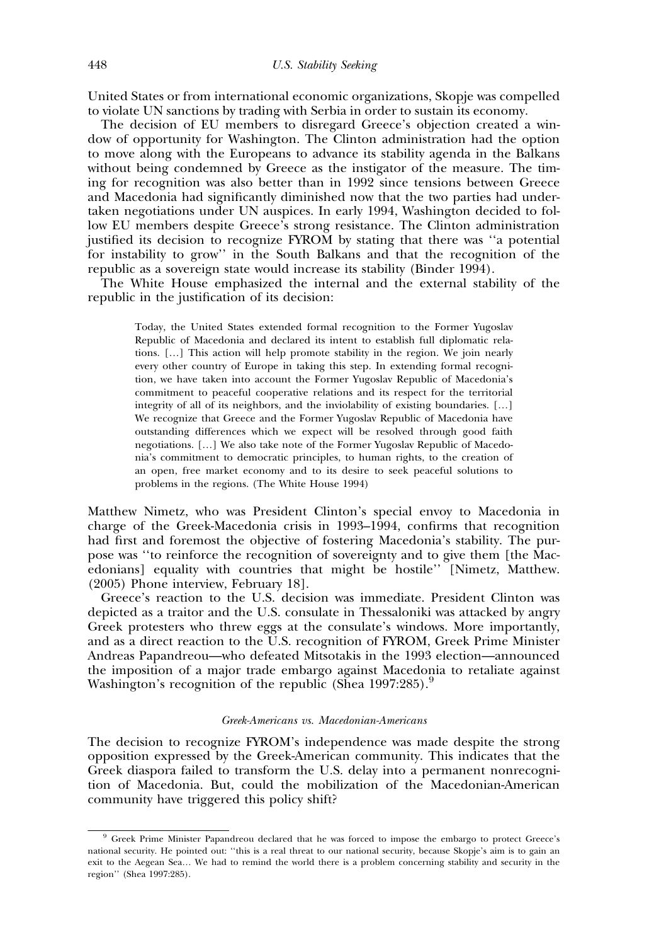United States or from international economic organizations, Skopje was compelled to violate UN sanctions by trading with Serbia in order to sustain its economy.

The decision of EU members to disregard Greece's objection created a window of opportunity for Washington. The Clinton administration had the option to move along with the Europeans to advance its stability agenda in the Balkans without being condemned by Greece as the instigator of the measure. The timing for recognition was also better than in 1992 since tensions between Greece and Macedonia had significantly diminished now that the two parties had undertaken negotiations under UN auspices. In early 1994, Washington decided to follow EU members despite Greece's strong resistance. The Clinton administration justified its decision to recognize FYROM by stating that there was ''a potential for instability to grow'' in the South Balkans and that the recognition of the republic as a sovereign state would increase its stability (Binder 1994).

The White House emphasized the internal and the external stability of the republic in the justification of its decision:

Today, the United States extended formal recognition to the Former Yugoslav Republic of Macedonia and declared its intent to establish full diplomatic relations. […] This action will help promote stability in the region. We join nearly every other country of Europe in taking this step. In extending formal recognition, we have taken into account the Former Yugoslav Republic of Macedonia's commitment to peaceful cooperative relations and its respect for the territorial integrity of all of its neighbors, and the inviolability of existing boundaries. […] We recognize that Greece and the Former Yugoslav Republic of Macedonia have outstanding differences which we expect will be resolved through good faith negotiations. […] We also take note of the Former Yugoslav Republic of Macedonia's commitment to democratic principles, to human rights, to the creation of an open, free market economy and to its desire to seek peaceful solutions to problems in the regions. (The White House 1994)

Matthew Nimetz, who was President Clinton's special envoy to Macedonia in charge of the Greek-Macedonia crisis in 1993–1994, confirms that recognition had first and foremost the objective of fostering Macedonia's stability. The purpose was ''to reinforce the recognition of sovereignty and to give them [the Macedonians] equality with countries that might be hostile'' [Nimetz, Matthew. (2005) Phone interview, February 18].

Greece's reaction to the U.S. decision was immediate. President Clinton was depicted as a traitor and the U.S. consulate in Thessaloniki was attacked by angry Greek protesters who threw eggs at the consulate's windows. More importantly, and as a direct reaction to the U.S. recognition of FYROM, Greek Prime Minister Andreas Papandreou—who defeated Mitsotakis in the 1993 election—announced the imposition of a major trade embargo against Macedonia to retaliate against Washington's recognition of the republic (Shea 1997:285).<sup>9</sup>

## Greek-Americans vs. Macedonian-Americans

The decision to recognize FYROM's independence was made despite the strong opposition expressed by the Greek-American community. This indicates that the Greek diaspora failed to transform the U.S. delay into a permanent nonrecognition of Macedonia. But, could the mobilization of the Macedonian-American community have triggered this policy shift?

<sup>9</sup> Greek Prime Minister Papandreou declared that he was forced to impose the embargo to protect Greece's national security. He pointed out: ''this is a real threat to our national security, because Skopje's aim is to gain an exit to the Aegean Sea… We had to remind the world there is a problem concerning stability and security in the region'' (Shea 1997:285).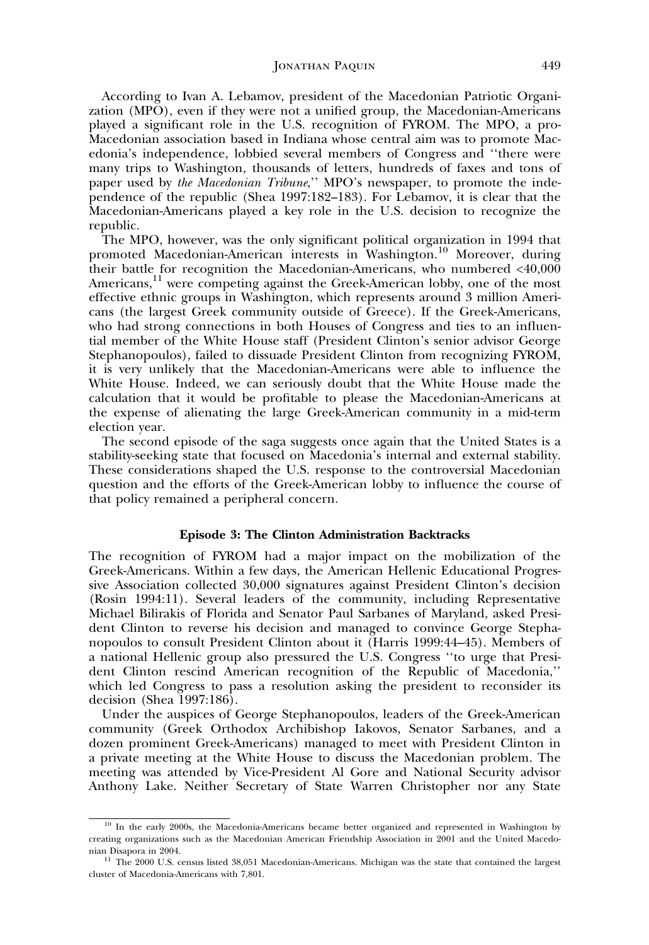According to Ivan A. Lebamov, president of the Macedonian Patriotic Organization (MPO), even if they were not a unified group, the Macedonian-Americans played a significant role in the U.S. recognition of FYROM. The MPO, a pro-Macedonian association based in Indiana whose central aim was to promote Macedonia's independence, lobbied several members of Congress and ''there were many trips to Washington, thousands of letters, hundreds of faxes and tons of paper used by the Macedonian Tribune," MPO's newspaper, to promote the independence of the republic (Shea 1997:182–183). For Lebamov, it is clear that the Macedonian-Americans played a key role in the U.S. decision to recognize the republic.

The MPO, however, was the only significant political organization in 1994 that promoted Macedonian-American interests in Washington.<sup>10</sup> Moreover, during their battle for recognition the Macedonian-Americans, who numbered <40,000 Americans,<sup>11</sup> were competing against the Greek-American lobby, one of the most effective ethnic groups in Washington, which represents around 3 million Americans (the largest Greek community outside of Greece). If the Greek-Americans, who had strong connections in both Houses of Congress and ties to an influential member of the White House staff (President Clinton's senior advisor George Stephanopoulos), failed to dissuade President Clinton from recognizing FYROM, it is very unlikely that the Macedonian-Americans were able to influence the White House. Indeed, we can seriously doubt that the White House made the calculation that it would be profitable to please the Macedonian-Americans at the expense of alienating the large Greek-American community in a mid-term election year.

The second episode of the saga suggests once again that the United States is a stability-seeking state that focused on Macedonia's internal and external stability. These considerations shaped the U.S. response to the controversial Macedonian question and the efforts of the Greek-American lobby to influence the course of that policy remained a peripheral concern.

#### Episode 3: The Clinton Administration Backtracks

The recognition of FYROM had a major impact on the mobilization of the Greek-Americans. Within a few days, the American Hellenic Educational Progressive Association collected 30,000 signatures against President Clinton's decision (Rosin 1994:11). Several leaders of the community, including Representative Michael Bilirakis of Florida and Senator Paul Sarbanes of Maryland, asked President Clinton to reverse his decision and managed to convince George Stephanopoulos to consult President Clinton about it (Harris 1999:44–45). Members of a national Hellenic group also pressured the U.S. Congress ''to urge that President Clinton rescind American recognition of the Republic of Macedonia,'' which led Congress to pass a resolution asking the president to reconsider its decision (Shea 1997:186).

Under the auspices of George Stephanopoulos, leaders of the Greek-American community (Greek Orthodox Archibishop Iakovos, Senator Sarbanes, and a dozen prominent Greek-Americans) managed to meet with President Clinton in a private meeting at the White House to discuss the Macedonian problem. The meeting was attended by Vice-President Al Gore and National Security advisor Anthony Lake. Neither Secretary of State Warren Christopher nor any State

<sup>&</sup>lt;sup>10</sup> In the early 2000s, the Macedonia-Americans became better organized and represented in Washington by creating organizations such as the Macedonian American Friendship Association in 2001 and the United Macedonian Disapora in 2004.

<sup>&</sup>lt;sup>11</sup> The 2000 U.S. census listed 38,051 Macedonian-Americans. Michigan was the state that contained the largest cluster of Macedonia-Americans with 7,801.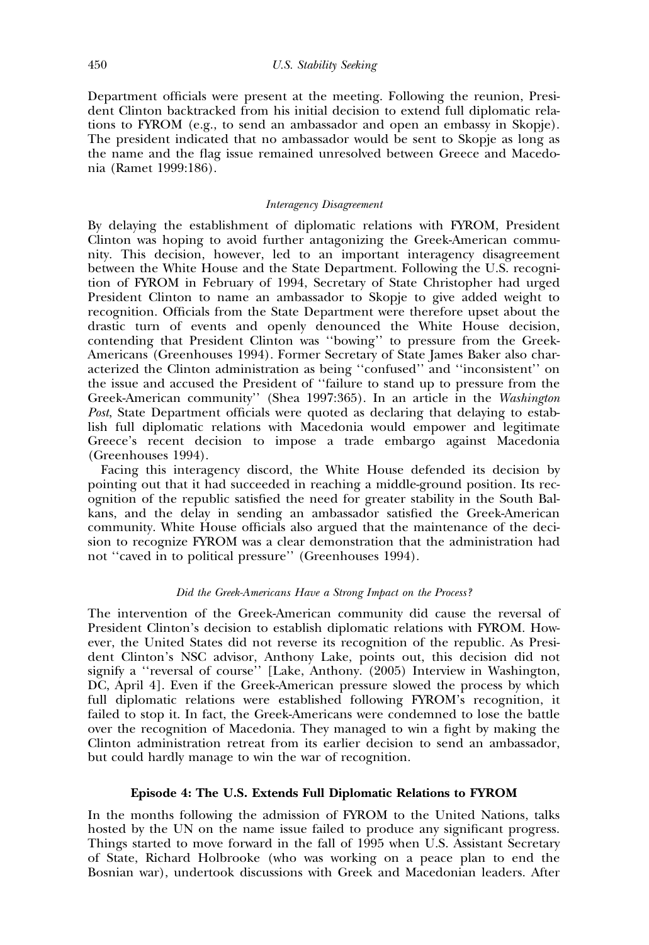Department officials were present at the meeting. Following the reunion, President Clinton backtracked from his initial decision to extend full diplomatic relations to FYROM (e.g., to send an ambassador and open an embassy in Skopje). The president indicated that no ambassador would be sent to Skopje as long as the name and the flag issue remained unresolved between Greece and Macedonia (Ramet 1999:186).

## Interagency Disagreement

By delaying the establishment of diplomatic relations with FYROM, President Clinton was hoping to avoid further antagonizing the Greek-American community. This decision, however, led to an important interagency disagreement between the White House and the State Department. Following the U.S. recognition of FYROM in February of 1994, Secretary of State Christopher had urged President Clinton to name an ambassador to Skopje to give added weight to recognition. Officials from the State Department were therefore upset about the drastic turn of events and openly denounced the White House decision, contending that President Clinton was ''bowing'' to pressure from the Greek-Americans (Greenhouses 1994). Former Secretary of State James Baker also characterized the Clinton administration as being ''confused'' and ''inconsistent'' on the issue and accused the President of ''failure to stand up to pressure from the Greek-American community'' (Shea 1997:365). In an article in the Washington Post, State Department officials were quoted as declaring that delaying to establish full diplomatic relations with Macedonia would empower and legitimate Greece's recent decision to impose a trade embargo against Macedonia (Greenhouses 1994).

Facing this interagency discord, the White House defended its decision by pointing out that it had succeeded in reaching a middle-ground position. Its recognition of the republic satisfied the need for greater stability in the South Balkans, and the delay in sending an ambassador satisfied the Greek-American community. White House officials also argued that the maintenance of the decision to recognize FYROM was a clear demonstration that the administration had not ''caved in to political pressure'' (Greenhouses 1994).

# Did the Greek-Americans Have a Strong Impact on the Process?

The intervention of the Greek-American community did cause the reversal of President Clinton's decision to establish diplomatic relations with FYROM. However, the United States did not reverse its recognition of the republic. As President Clinton's NSC advisor, Anthony Lake, points out, this decision did not signify a ''reversal of course'' [Lake, Anthony. (2005) Interview in Washington, DC, April 4]. Even if the Greek-American pressure slowed the process by which full diplomatic relations were established following FYROM's recognition, it failed to stop it. In fact, the Greek-Americans were condemned to lose the battle over the recognition of Macedonia. They managed to win a fight by making the Clinton administration retreat from its earlier decision to send an ambassador, but could hardly manage to win the war of recognition.

# Episode 4: The U.S. Extends Full Diplomatic Relations to FYROM

In the months following the admission of FYROM to the United Nations, talks hosted by the UN on the name issue failed to produce any significant progress. Things started to move forward in the fall of 1995 when U.S. Assistant Secretary of State, Richard Holbrooke (who was working on a peace plan to end the Bosnian war), undertook discussions with Greek and Macedonian leaders. After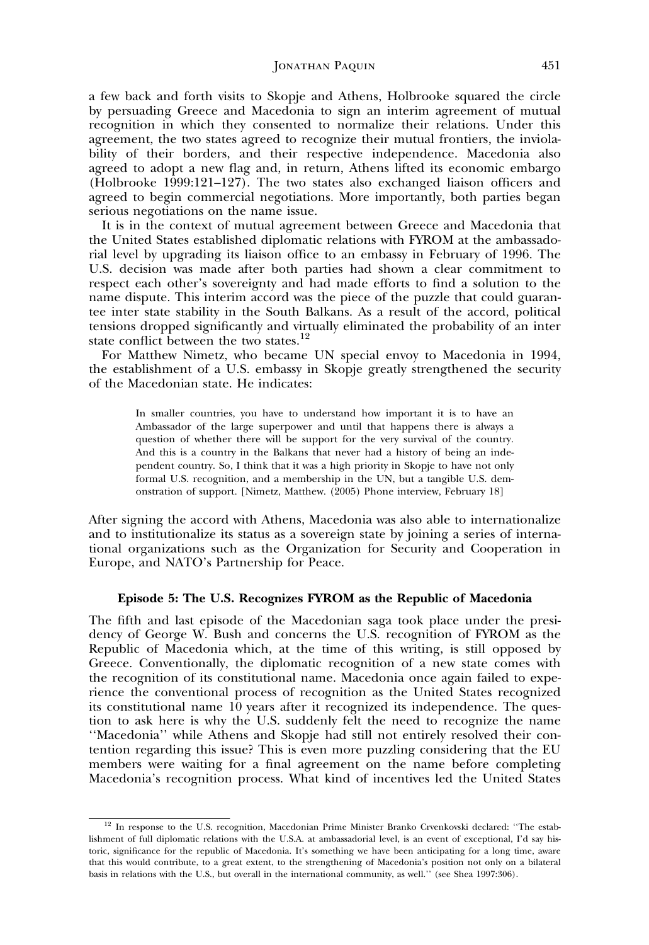## Jonathan Paquin 451

a few back and forth visits to Skopje and Athens, Holbrooke squared the circle by persuading Greece and Macedonia to sign an interim agreement of mutual recognition in which they consented to normalize their relations. Under this agreement, the two states agreed to recognize their mutual frontiers, the inviolability of their borders, and their respective independence. Macedonia also agreed to adopt a new flag and, in return, Athens lifted its economic embargo (Holbrooke 1999:121–127). The two states also exchanged liaison officers and agreed to begin commercial negotiations. More importantly, both parties began serious negotiations on the name issue.

It is in the context of mutual agreement between Greece and Macedonia that the United States established diplomatic relations with FYROM at the ambassadorial level by upgrading its liaison office to an embassy in February of 1996. The U.S. decision was made after both parties had shown a clear commitment to respect each other's sovereignty and had made efforts to find a solution to the name dispute. This interim accord was the piece of the puzzle that could guarantee inter state stability in the South Balkans. As a result of the accord, political tensions dropped significantly and virtually eliminated the probability of an inter state conflict between the two states.<sup>12</sup>

For Matthew Nimetz, who became UN special envoy to Macedonia in 1994, the establishment of a U.S. embassy in Skopje greatly strengthened the security of the Macedonian state. He indicates:

In smaller countries, you have to understand how important it is to have an Ambassador of the large superpower and until that happens there is always a question of whether there will be support for the very survival of the country. And this is a country in the Balkans that never had a history of being an independent country. So, I think that it was a high priority in Skopje to have not only formal U.S. recognition, and a membership in the UN, but a tangible U.S. demonstration of support. [Nimetz, Matthew. (2005) Phone interview, February 18]

After signing the accord with Athens, Macedonia was also able to internationalize and to institutionalize its status as a sovereign state by joining a series of international organizations such as the Organization for Security and Cooperation in Europe, and NATO's Partnership for Peace.

## Episode 5: The U.S. Recognizes FYROM as the Republic of Macedonia

The fifth and last episode of the Macedonian saga took place under the presidency of George W. Bush and concerns the U.S. recognition of FYROM as the Republic of Macedonia which, at the time of this writing, is still opposed by Greece. Conventionally, the diplomatic recognition of a new state comes with the recognition of its constitutional name. Macedonia once again failed to experience the conventional process of recognition as the United States recognized its constitutional name 10 years after it recognized its independence. The question to ask here is why the U.S. suddenly felt the need to recognize the name ''Macedonia'' while Athens and Skopje had still not entirely resolved their contention regarding this issue? This is even more puzzling considering that the EU members were waiting for a final agreement on the name before completing Macedonia's recognition process. What kind of incentives led the United States

<sup>&</sup>lt;sup>12</sup> In response to the U.S. recognition, Macedonian Prime Minister Branko Crvenkovski declared: "The establishment of full diplomatic relations with the U.S.A. at ambassadorial level, is an event of exceptional, I'd say historic, significance for the republic of Macedonia. It's something we have been anticipating for a long time, aware that this would contribute, to a great extent, to the strengthening of Macedonia's position not only on a bilateral basis in relations with the U.S., but overall in the international community, as well.'' (see Shea 1997:306).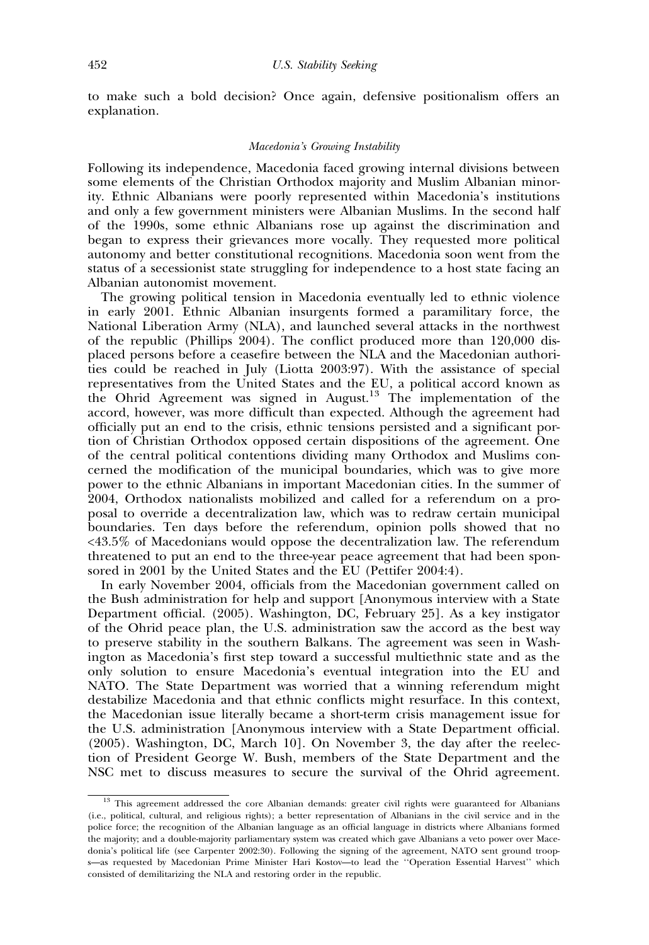to make such a bold decision? Once again, defensive positionalism offers an explanation.

#### Macedonia's Growing Instability

Following its independence, Macedonia faced growing internal divisions between some elements of the Christian Orthodox majority and Muslim Albanian minority. Ethnic Albanians were poorly represented within Macedonia's institutions and only a few government ministers were Albanian Muslims. In the second half of the 1990s, some ethnic Albanians rose up against the discrimination and began to express their grievances more vocally. They requested more political autonomy and better constitutional recognitions. Macedonia soon went from the status of a secessionist state struggling for independence to a host state facing an Albanian autonomist movement.

The growing political tension in Macedonia eventually led to ethnic violence in early 2001. Ethnic Albanian insurgents formed a paramilitary force, the National Liberation Army (NLA), and launched several attacks in the northwest of the republic (Phillips 2004). The conflict produced more than 120,000 displaced persons before a ceasefire between the NLA and the Macedonian authorities could be reached in July (Liotta 2003:97). With the assistance of special representatives from the United States and the EU, a political accord known as the Ohrid Agreement was signed in August.<sup>13</sup> The implementation of the accord, however, was more difficult than expected. Although the agreement had officially put an end to the crisis, ethnic tensions persisted and a significant portion of Christian Orthodox opposed certain dispositions of the agreement. One of the central political contentions dividing many Orthodox and Muslims concerned the modification of the municipal boundaries, which was to give more power to the ethnic Albanians in important Macedonian cities. In the summer of 2004, Orthodox nationalists mobilized and called for a referendum on a proposal to override a decentralization law, which was to redraw certain municipal boundaries. Ten days before the referendum, opinion polls showed that no <43.5% of Macedonians would oppose the decentralization law. The referendum threatened to put an end to the three-year peace agreement that had been sponsored in 2001 by the United States and the EU (Pettifer 2004:4).

In early November 2004, officials from the Macedonian government called on the Bush administration for help and support [Anonymous interview with a State Department official. (2005). Washington, DC, February 25]. As a key instigator of the Ohrid peace plan, the U.S. administration saw the accord as the best way to preserve stability in the southern Balkans. The agreement was seen in Washington as Macedonia's first step toward a successful multiethnic state and as the only solution to ensure Macedonia's eventual integration into the EU and NATO. The State Department was worried that a winning referendum might destabilize Macedonia and that ethnic conflicts might resurface. In this context, the Macedonian issue literally became a short-term crisis management issue for the U.S. administration [Anonymous interview with a State Department official. (2005). Washington, DC, March 10]. On November 3, the day after the reelection of President George W. Bush, members of the State Department and the NSC met to discuss measures to secure the survival of the Ohrid agreement.

<sup>&</sup>lt;sup>13</sup> This agreement addressed the core Albanian demands: greater civil rights were guaranteed for Albanians (i.e., political, cultural, and religious rights); a better representation of Albanians in the civil service and in the police force; the recognition of the Albanian language as an official language in districts where Albanians formed the majority; and a double-majority parliamentary system was created which gave Albanians a veto power over Macedonia's political life (see Carpenter 2002:30). Following the signing of the agreement, NATO sent ground troops—as requested by Macedonian Prime Minister Hari Kostov—to lead the ''Operation Essential Harvest'' which consisted of demilitarizing the NLA and restoring order in the republic.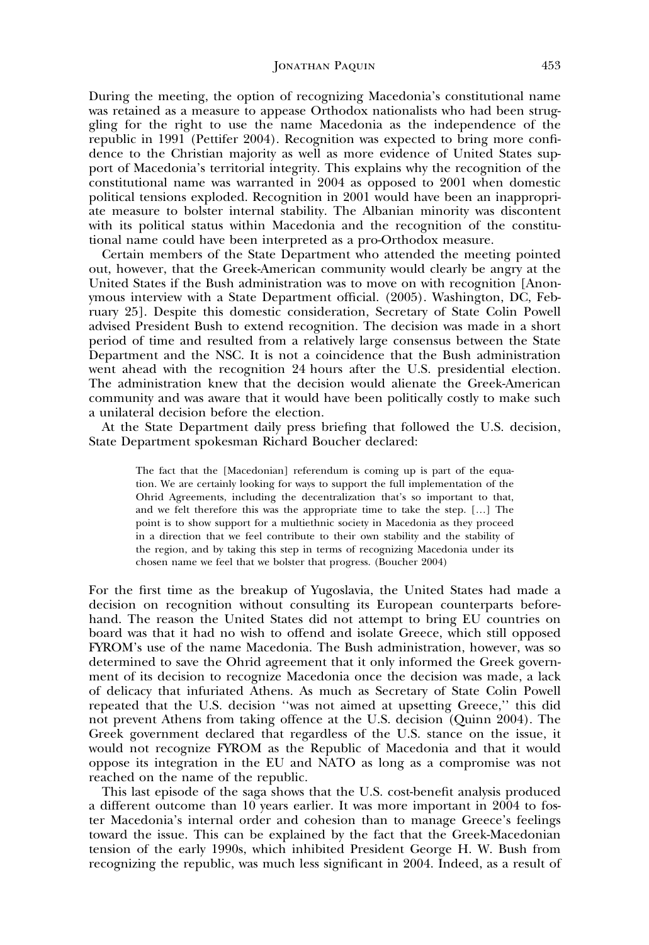During the meeting, the option of recognizing Macedonia's constitutional name was retained as a measure to appease Orthodox nationalists who had been struggling for the right to use the name Macedonia as the independence of the republic in 1991 (Pettifer 2004). Recognition was expected to bring more confidence to the Christian majority as well as more evidence of United States support of Macedonia's territorial integrity. This explains why the recognition of the constitutional name was warranted in 2004 as opposed to 2001 when domestic political tensions exploded. Recognition in 2001 would have been an inappropriate measure to bolster internal stability. The Albanian minority was discontent with its political status within Macedonia and the recognition of the constitutional name could have been interpreted as a pro-Orthodox measure.

Certain members of the State Department who attended the meeting pointed out, however, that the Greek-American community would clearly be angry at the United States if the Bush administration was to move on with recognition [Anonymous interview with a State Department official. (2005). Washington, DC, February 25]. Despite this domestic consideration, Secretary of State Colin Powell advised President Bush to extend recognition. The decision was made in a short period of time and resulted from a relatively large consensus between the State Department and the NSC. It is not a coincidence that the Bush administration went ahead with the recognition 24 hours after the U.S. presidential election. The administration knew that the decision would alienate the Greek-American community and was aware that it would have been politically costly to make such a unilateral decision before the election.

At the State Department daily press briefing that followed the U.S. decision, State Department spokesman Richard Boucher declared:

The fact that the [Macedonian] referendum is coming up is part of the equation. We are certainly looking for ways to support the full implementation of the Ohrid Agreements, including the decentralization that's so important to that, and we felt therefore this was the appropriate time to take the step. […] The point is to show support for a multiethnic society in Macedonia as they proceed in a direction that we feel contribute to their own stability and the stability of the region, and by taking this step in terms of recognizing Macedonia under its chosen name we feel that we bolster that progress. (Boucher 2004)

For the first time as the breakup of Yugoslavia, the United States had made a decision on recognition without consulting its European counterparts beforehand. The reason the United States did not attempt to bring EU countries on board was that it had no wish to offend and isolate Greece, which still opposed FYROM's use of the name Macedonia. The Bush administration, however, was so determined to save the Ohrid agreement that it only informed the Greek government of its decision to recognize Macedonia once the decision was made, a lack of delicacy that infuriated Athens. As much as Secretary of State Colin Powell repeated that the U.S. decision ''was not aimed at upsetting Greece,'' this did not prevent Athens from taking offence at the U.S. decision (Quinn 2004). The Greek government declared that regardless of the U.S. stance on the issue, it would not recognize FYROM as the Republic of Macedonia and that it would oppose its integration in the EU and NATO as long as a compromise was not reached on the name of the republic.

This last episode of the saga shows that the U.S. cost-benefit analysis produced a different outcome than 10 years earlier. It was more important in 2004 to foster Macedonia's internal order and cohesion than to manage Greece's feelings toward the issue. This can be explained by the fact that the Greek-Macedonian tension of the early 1990s, which inhibited President George H. W. Bush from recognizing the republic, was much less significant in 2004. Indeed, as a result of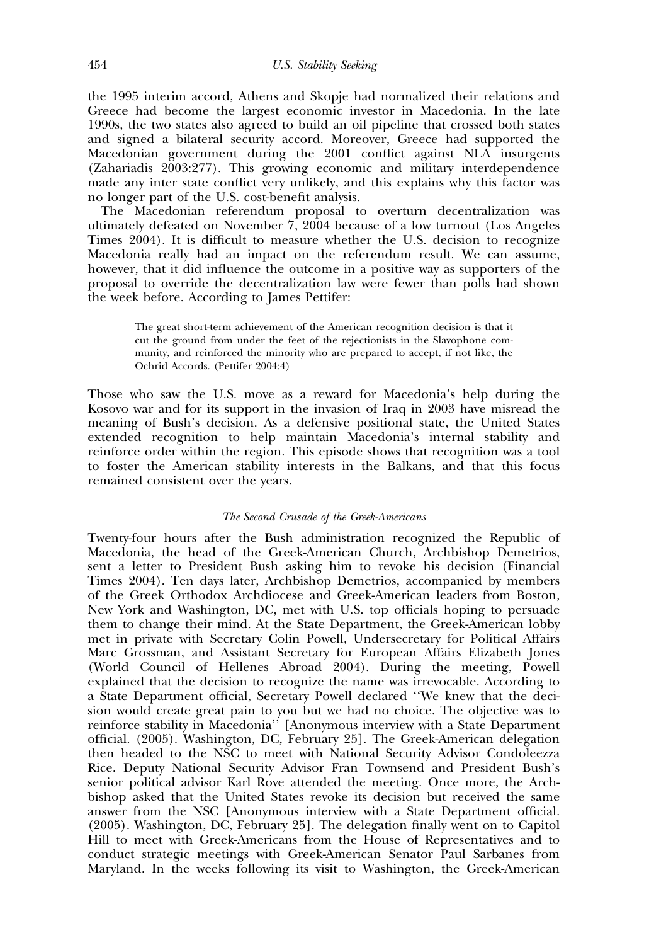the 1995 interim accord, Athens and Skopje had normalized their relations and Greece had become the largest economic investor in Macedonia. In the late 1990s, the two states also agreed to build an oil pipeline that crossed both states and signed a bilateral security accord. Moreover, Greece had supported the Macedonian government during the 2001 conflict against NLA insurgents (Zahariadis 2003:277). This growing economic and military interdependence made any inter state conflict very unlikely, and this explains why this factor was no longer part of the U.S. cost-benefit analysis.

The Macedonian referendum proposal to overturn decentralization was ultimately defeated on November  $7, 2004$  because of a low turnout (Los Angeles Times 2004). It is difficult to measure whether the U.S. decision to recognize Macedonia really had an impact on the referendum result. We can assume, however, that it did influence the outcome in a positive way as supporters of the proposal to override the decentralization law were fewer than polls had shown the week before. According to James Pettifer:

The great short-term achievement of the American recognition decision is that it cut the ground from under the feet of the rejectionists in the Slavophone community, and reinforced the minority who are prepared to accept, if not like, the Ochrid Accords. (Pettifer 2004:4)

Those who saw the U.S. move as a reward for Macedonia's help during the Kosovo war and for its support in the invasion of Iraq in 2003 have misread the meaning of Bush's decision. As a defensive positional state, the United States extended recognition to help maintain Macedonia's internal stability and reinforce order within the region. This episode shows that recognition was a tool to foster the American stability interests in the Balkans, and that this focus remained consistent over the years.

## The Second Crusade of the Greek-Americans

Twenty-four hours after the Bush administration recognized the Republic of Macedonia, the head of the Greek-American Church, Archbishop Demetrios, sent a letter to President Bush asking him to revoke his decision (Financial Times 2004). Ten days later, Archbishop Demetrios, accompanied by members of the Greek Orthodox Archdiocese and Greek-American leaders from Boston, New York and Washington, DC, met with U.S. top officials hoping to persuade them to change their mind. At the State Department, the Greek-American lobby met in private with Secretary Colin Powell, Undersecretary for Political Affairs Marc Grossman, and Assistant Secretary for European Affairs Elizabeth Jones (World Council of Hellenes Abroad 2004). During the meeting, Powell explained that the decision to recognize the name was irrevocable. According to a State Department official, Secretary Powell declared ''We knew that the decision would create great pain to you but we had no choice. The objective was to reinforce stability in Macedonia'' [Anonymous interview with a State Department official. (2005). Washington, DC, February 25]. The Greek-American delegation then headed to the NSC to meet with National Security Advisor Condoleezza Rice. Deputy National Security Advisor Fran Townsend and President Bush's senior political advisor Karl Rove attended the meeting. Once more, the Archbishop asked that the United States revoke its decision but received the same answer from the NSC [Anonymous interview with a State Department official. (2005). Washington, DC, February 25]. The delegation finally went on to Capitol Hill to meet with Greek-Americans from the House of Representatives and to conduct strategic meetings with Greek-American Senator Paul Sarbanes from Maryland. In the weeks following its visit to Washington, the Greek-American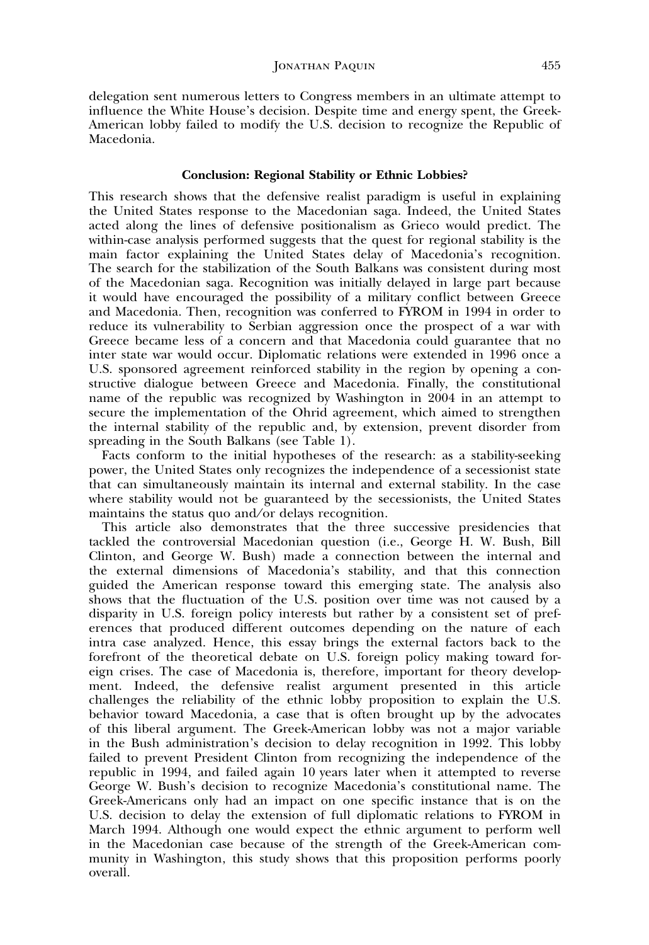delegation sent numerous letters to Congress members in an ultimate attempt to influence the White House's decision. Despite time and energy spent, the Greek-American lobby failed to modify the U.S. decision to recognize the Republic of Macedonia.

# Conclusion: Regional Stability or Ethnic Lobbies?

This research shows that the defensive realist paradigm is useful in explaining the United States response to the Macedonian saga. Indeed, the United States acted along the lines of defensive positionalism as Grieco would predict. The within-case analysis performed suggests that the quest for regional stability is the main factor explaining the United States delay of Macedonia's recognition. The search for the stabilization of the South Balkans was consistent during most of the Macedonian saga. Recognition was initially delayed in large part because it would have encouraged the possibility of a military conflict between Greece and Macedonia. Then, recognition was conferred to FYROM in 1994 in order to reduce its vulnerability to Serbian aggression once the prospect of a war with Greece became less of a concern and that Macedonia could guarantee that no inter state war would occur. Diplomatic relations were extended in 1996 once a U.S. sponsored agreement reinforced stability in the region by opening a constructive dialogue between Greece and Macedonia. Finally, the constitutional name of the republic was recognized by Washington in 2004 in an attempt to secure the implementation of the Ohrid agreement, which aimed to strengthen the internal stability of the republic and, by extension, prevent disorder from spreading in the South Balkans (see Table 1).

Facts conform to the initial hypotheses of the research: as a stability-seeking power, the United States only recognizes the independence of a secessionist state that can simultaneously maintain its internal and external stability. In the case where stability would not be guaranteed by the secessionists, the United States maintains the status quo and⁄ or delays recognition.

This article also demonstrates that the three successive presidencies that tackled the controversial Macedonian question (i.e., George H. W. Bush, Bill Clinton, and George W. Bush) made a connection between the internal and the external dimensions of Macedonia's stability, and that this connection guided the American response toward this emerging state. The analysis also shows that the fluctuation of the U.S. position over time was not caused by a disparity in U.S. foreign policy interests but rather by a consistent set of preferences that produced different outcomes depending on the nature of each intra case analyzed. Hence, this essay brings the external factors back to the forefront of the theoretical debate on U.S. foreign policy making toward foreign crises. The case of Macedonia is, therefore, important for theory development. Indeed, the defensive realist argument presented in this article challenges the reliability of the ethnic lobby proposition to explain the U.S. behavior toward Macedonia, a case that is often brought up by the advocates of this liberal argument. The Greek-American lobby was not a major variable in the Bush administration's decision to delay recognition in 1992. This lobby failed to prevent President Clinton from recognizing the independence of the republic in 1994, and failed again 10 years later when it attempted to reverse George W. Bush's decision to recognize Macedonia's constitutional name. The Greek-Americans only had an impact on one specific instance that is on the U.S. decision to delay the extension of full diplomatic relations to FYROM in March 1994. Although one would expect the ethnic argument to perform well in the Macedonian case because of the strength of the Greek-American community in Washington, this study shows that this proposition performs poorly overall.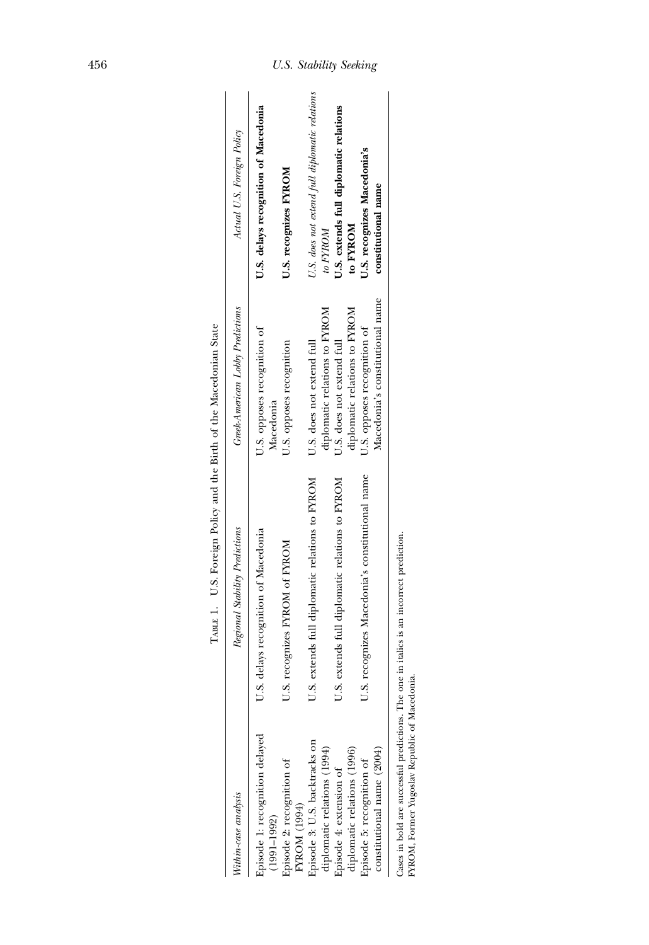| Vithin-case analysis                              | Regional Stability Predictions                  | Greek-American Lobby Predictions         | Actual U.S. Foreign Policy                     |
|---------------------------------------------------|-------------------------------------------------|------------------------------------------|------------------------------------------------|
| Episode 1: recognition delayed<br>$(1991 - 1992)$ | U.S. delays recognition of Macedonia            | U.S. opposes recognition of<br>Macedonia | U.S. delays recognition of Macedonia           |
| Episode 2: recognition of<br>FYROM (1994)         | J.S. recognizes FYROM of FYROM                  | U.S. opposes recognition                 | U.S. recognizes FYROM                          |
| Episode 3: U.S. backtracks on                     | U.S. extends full diplomatic relations to FYROM | diplomatic relations to FYROM            | U.S. does not extend full diplomatic relations |
| diplomatic relations (1994)                       |                                                 | U.S. does not extend full                | to FYROM                                       |
| diplomatic relations (1996)                       | U.S. extends full diplomatic relations to FYROM | diplomatic relations to FYROM            | U.S. extends full diplomatic relations         |
| Episode 4: extension of                           |                                                 | U.S. does not extend full                | to FYROM                                       |
| constitutional name (2004)                        | U.S. recognizes Macedonia's constitutional name | Macedonia's constitutional name          | U.S. recognizes Macedonia's                    |
| Episode 5: recognition of                         |                                                 | U.S. opposes recognition of              | constitutional name                            |

TABLE 1. U.S. Foreign Policy and the Birth of the Macedonian State TABLE 1. U.S. Foreign Policy and the Birth of the Macedonian State

Cases in bold are successful predictions. The one in italics is an incorrect prediction. FXROM, Former Yugoslav Republic of Macedonia.  $\;$ Cases in bold are successful predictions. The one in italics is an incorrect prediction. FYROM, Former Yugoslav Republic of Macedonia.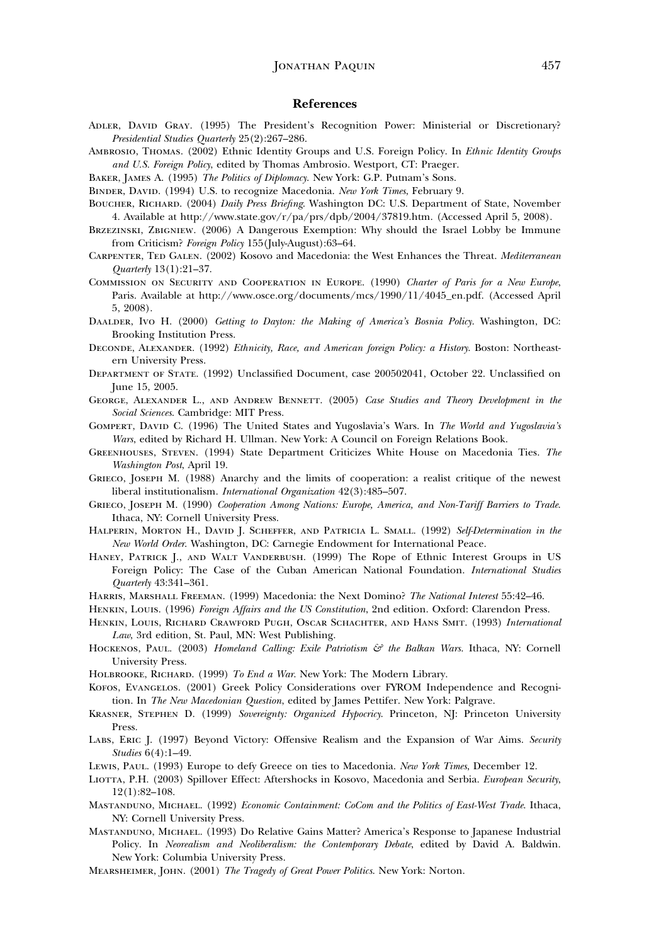## References

- Adler, David Gray. (1995) The President's Recognition Power: Ministerial or Discretionary? Presidential Studies Quarterly 25(2):267–286.
- AMBROSIO, THOMAS. (2002) Ethnic Identity Groups and U.S. Foreign Policy. In Ethnic Identity Groups and U.S. Foreign Policy, edited by Thomas Ambrosio. Westport, CT: Praeger.
- BAKER, JAMES A. (1995) The Politics of Diplomacy. New York: G.P. Putnam's Sons.
- BINDER, DAVID. (1994) U.S. to recognize Macedonia. New York Times, February 9.
- Boucher, Richard. (2004) Daily Press Briefing. Washington DC: U.S. Department of State, November 4. Available at http://www.state.gov/r/pa/prs/dpb/2004/37819.htm. (Accessed April 5, 2008).
- BRZEZINSKI, ZBIGNIEW. (2006) A Dangerous Exemption: Why should the Israel Lobby be Immune from Criticism? Foreign Policy 155(July-August):63-64.
- Carpenter, Ted Galen. (2002) Kosovo and Macedonia: the West Enhances the Threat. Mediterranean Quarterly 13(1):21–37.
- Commission on Security and Cooperation in Europe. (1990) Charter of Paris for a New Europe, Paris. Available at http://www.osce.org/documents/mcs/1990/11/4045\_en.pdf. (Accessed April 5, 2008).
- DAALDER, IVO H. (2000) Getting to Dayton: the Making of America's Bosnia Policy. Washington, DC: Brooking Institution Press.
- DECONDE, ALEXANDER. (1992) Ethnicity, Race, and American foreign Policy: a History. Boston: Northeastern University Press.
- Department of State. (1992) Unclassified Document, case 200502041, October 22. Unclassified on June 15, 2005.
- GEORGE, ALEXANDER L., AND ANDREW BENNETT. (2005) Case Studies and Theory Development in the Social Sciences. Cambridge: MIT Press.
- GOMPERT, DAVID C. (1996) The United States and Yugoslavia's Wars. In The World and Yugoslavia's Wars, edited by Richard H. Ullman. New York: A Council on Foreign Relations Book.
- Greenhouses, Steven. (1994) State Department Criticizes White House on Macedonia Ties. The Washington Post, April 19.
- Grieco, Joseph M. (1988) Anarchy and the limits of cooperation: a realist critique of the newest liberal institutionalism. International Organization 42(3):485–507.
- Grieco, Joseph M. (1990) Cooperation Among Nations: Europe, America, and Non-Tariff Barriers to Trade. Ithaca, NY: Cornell University Press.
- HALPERIN, MORTON H., DAVID J. SCHEFFER, AND PATRICIA L. SMALL. (1992) Self-Determination in the New World Order. Washington, DC: Carnegie Endowment for International Peace.
- HANEY, PATRICK J., AND WALT VANDERBUSH. (1999) The Rope of Ethnic Interest Groups in US Foreign Policy: The Case of the Cuban American National Foundation. International Studies Quarterly 43:341–361.
- Harris, Marshall Freeman. (1999) Macedonia: the Next Domino? The National Interest 55:42–46.
- HENKIN, LOUIS. (1996) Foreign Affairs and the US Constitution, 2nd edition. Oxford: Clarendon Press.
- HENKIN, LOUIS, RICHARD CRAWFORD PUGH, OSCAR SCHACHTER, AND HANS SMIT. (1993) International Law, 3rd edition, St. Paul, MN: West Publishing.
- HOCKENOS, PAUL. (2003) Homeland Calling: Exile Patriotism & the Balkan Wars. Ithaca, NY: Cornell University Press.
- HOLBROOKE, RICHARD. (1999) To End a War. New York: The Modern Library.
- Koros, Evangelos. (2001) Greek Policy Considerations over FYROM Independence and Recognition. In The New Macedonian Question, edited by James Pettifer. New York: Palgrave.
- Krasner, Stephen D. (1999) Sovereignty: Organized Hypocricy. Princeton, NJ: Princeton University Press.
- LABS, ERIC J. (1997) Beyond Victory: Offensive Realism and the Expansion of War Aims. Security Studies 6(4):1–49.
- LEWIS, PAUL. (1993) Europe to defy Greece on ties to Macedonia. New York Times, December 12.
- LIOTTA, P.H. (2003) Spillover Effect: Aftershocks in Kosovo, Macedonia and Serbia. European Security, 12(1):82–108.
- Mastanduno, Michael. (1992) Economic Containment: CoCom and the Politics of East-West Trade. Ithaca, NY: Cornell University Press.
- Mastanduno, Michael. (1993) Do Relative Gains Matter? America's Response to Japanese Industrial Policy. In Neorealism and Neoliberalism: the Contemporary Debate, edited by David A. Baldwin. New York: Columbia University Press.
- Mearsheimer, John. (2001) The Tragedy of Great Power Politics. New York: Norton.